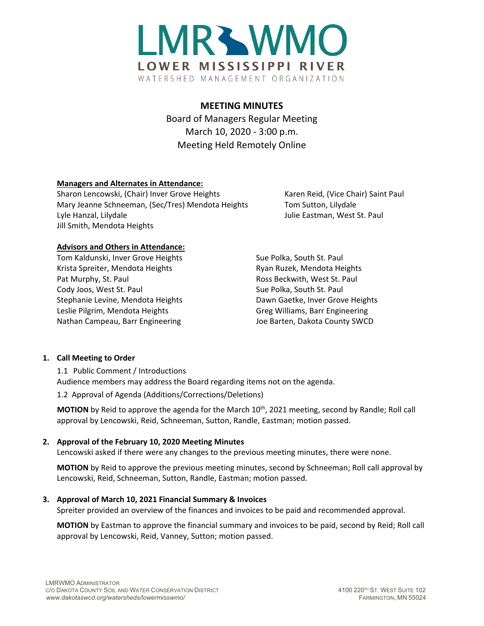

# **MEETING MINUTES**

Board of Managers Regular Meeting March 10, 2020 - 3:00 p.m. Meeting Held Remotely Online

# **Managers and Alternates in Attendance:**

Sharon Lencowski, (Chair) Inver Grove Heights Karen Reid, (Vice Chair) Saint Paul Mary Jeanne Schneeman, (Sec/Tres) Mendota Heights Tom Sutton, Lilydale Lyle Hanzal, Lilydale **Julie Eastman, West St. Paul** Jill Smith, Mendota Heights

#### **Advisors and Others in Attendance:**

Tom Kaldunski, Inver Grove Heights Sue Polka, South St. Paul Krista Spreiter, Mendota Heights **Ryan Ruzek, Mendota Heights** Ryan Ruzek, Mendota Heights Pat Murphy, St. Paul **Ross Beckwith, West St. Paul** Ross Beckwith, West St. Paul Cody Joos, West St. Paul Sue Polka, South St. Paul Sue Polka, South St. Paul Stephanie Levine, Mendota Heights Dawn Gaetke, Inver Grove Heights Leslie Pilgrim, Mendota Heights Greg Williams, Barr Engineering Nathan Campeau, Barr Engineering The Mathan Campeau, Barr Engineering Joe Barten, Dakota County SWCD

## **1. Call Meeting to Order**

1.1 Public Comment / Introductions Audience members may address the Board regarding items not on the agenda.

1.2 Approval of Agenda (Additions/Corrections/Deletions)

**MOTION** by Reid to approve the agenda for the March 10<sup>th</sup>, 2021 meeting, second by Randle; Roll call approval by Lencowski, Reid, Schneeman, Sutton, Randle, Eastman; motion passed.

# **2. Approval of the February 10, 2020 Meeting Minutes**

Lencowski asked if there were any changes to the previous meeting minutes, there were none.

**MOTION** by Reid to approve the previous meeting minutes, second by Schneeman; Roll call approval by Lencowski, Reid, Schneeman, Sutton, Randle, Eastman; motion passed.

## **3. Approval of March 10, 2021 Financial Summary & Invoices**

Spreiter provided an overview of the finances and invoices to be paid and recommended approval.

**MOTION** by Eastman to approve the financial summary and invoices to be paid, second by Reid; Roll call approval by Lencowski, Reid, Vanney, Sutton; motion passed.